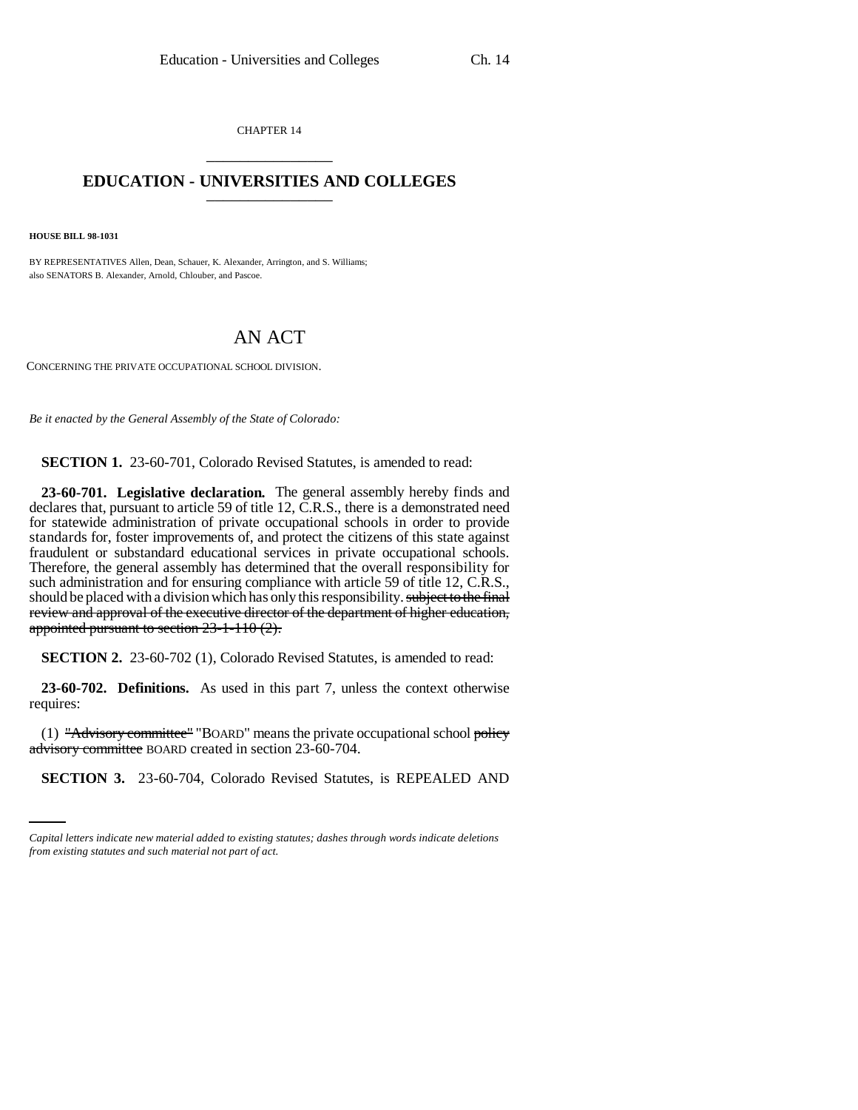CHAPTER 14 \_\_\_\_\_\_\_\_\_\_\_\_\_\_\_

## **EDUCATION - UNIVERSITIES AND COLLEGES** \_\_\_\_\_\_\_\_\_\_\_\_\_\_\_

**HOUSE BILL 98-1031**

BY REPRESENTATIVES Allen, Dean, Schauer, K. Alexander, Arrington, and S. Williams; also SENATORS B. Alexander, Arnold, Chlouber, and Pascoe.

# AN ACT

CONCERNING THE PRIVATE OCCUPATIONAL SCHOOL DIVISION.

*Be it enacted by the General Assembly of the State of Colorado:*

**SECTION 1.** 23-60-701, Colorado Revised Statutes, is amended to read:

**23-60-701. Legislative declaration.** The general assembly hereby finds and declares that, pursuant to article 59 of title 12, C.R.S., there is a demonstrated need for statewide administration of private occupational schools in order to provide standards for, foster improvements of, and protect the citizens of this state against fraudulent or substandard educational services in private occupational schools. Therefore, the general assembly has determined that the overall responsibility for such administration and for ensuring compliance with article 59 of title 12, C.R.S., should be placed with a division which has only this responsibility. subject to the final review and approval of the executive director of the department of higher education, appointed pursuant to section  $23-1-110(2)$ .

**SECTION 2.** 23-60-702 (1), Colorado Revised Statutes, is amended to read:

**23-60-702. Definitions.** As used in this part 7, unless the context otherwise requires:

advisory committee BOARD created in section 23-60-704. (1) "Advisory committee" "BOARD" means the private occupational school policy

**SECTION 3.** 23-60-704, Colorado Revised Statutes, is REPEALED AND

*Capital letters indicate new material added to existing statutes; dashes through words indicate deletions from existing statutes and such material not part of act.*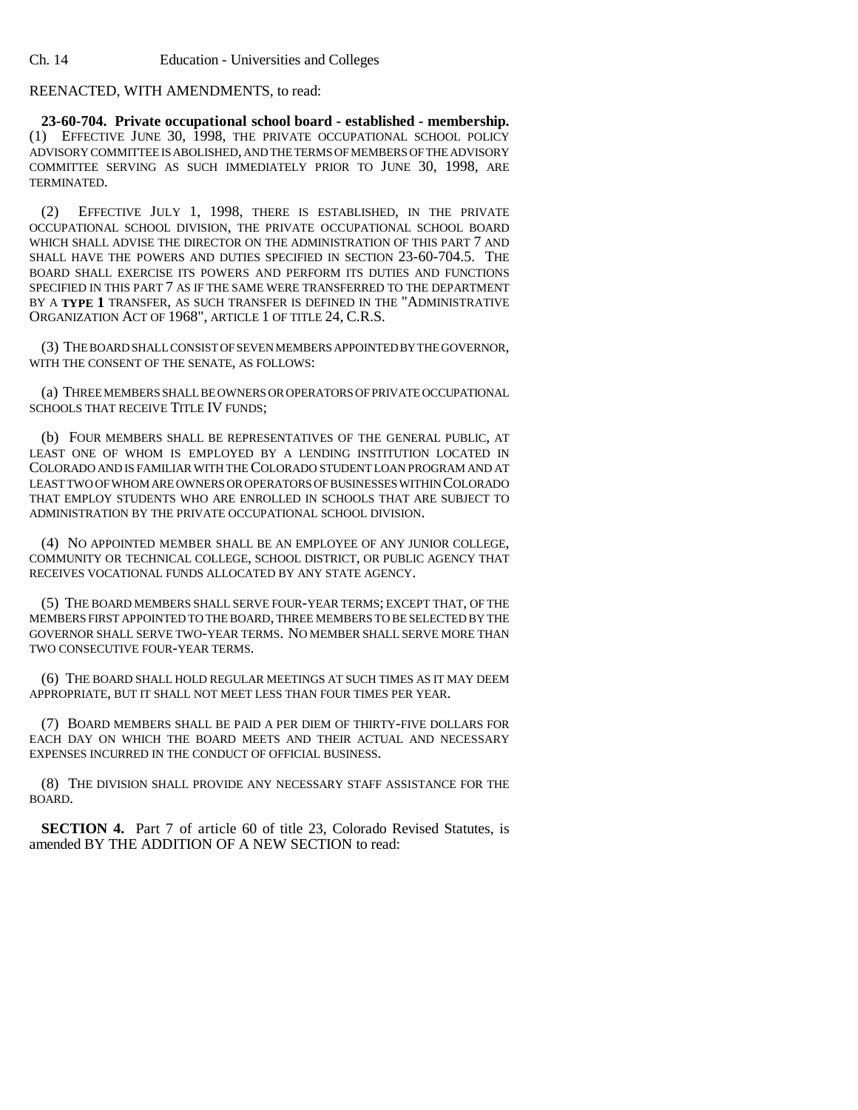## REENACTED, WITH AMENDMENTS, to read:

**23-60-704. Private occupational school board - established - membership.** (1) EFFECTIVE JUNE 30, 1998, THE PRIVATE OCCUPATIONAL SCHOOL POLICY ADVISORY COMMITTEE IS ABOLISHED, AND THE TERMS OF MEMBERS OF THE ADVISORY COMMITTEE SERVING AS SUCH IMMEDIATELY PRIOR TO JUNE 30, 1998, ARE TERMINATED.

(2) EFFECTIVE JULY 1, 1998, THERE IS ESTABLISHED, IN THE PRIVATE OCCUPATIONAL SCHOOL DIVISION, THE PRIVATE OCCUPATIONAL SCHOOL BOARD WHICH SHALL ADVISE THE DIRECTOR ON THE ADMINISTRATION OF THIS PART 7 AND SHALL HAVE THE POWERS AND DUTIES SPECIFIED IN SECTION 23-60-704.5. THE BOARD SHALL EXERCISE ITS POWERS AND PERFORM ITS DUTIES AND FUNCTIONS SPECIFIED IN THIS PART 7 AS IF THE SAME WERE TRANSFERRED TO THE DEPARTMENT BY A **TYPE 1** TRANSFER, AS SUCH TRANSFER IS DEFINED IN THE "ADMINISTRATIVE ORGANIZATION ACT OF 1968", ARTICLE 1 OF TITLE 24, C.R.S.

(3) THE BOARD SHALL CONSIST OF SEVEN MEMBERS APPOINTED BY THE GOVERNOR, WITH THE CONSENT OF THE SENATE, AS FOLLOWS:

(a) THREE MEMBERS SHALL BE OWNERS OR OPERATORS OF PRIVATE OCCUPATIONAL SCHOOLS THAT RECEIVE TITLE IV FUNDS:

(b) FOUR MEMBERS SHALL BE REPRESENTATIVES OF THE GENERAL PUBLIC, AT LEAST ONE OF WHOM IS EMPLOYED BY A LENDING INSTITUTION LOCATED IN COLORADO AND IS FAMILIAR WITH THE COLORADO STUDENT LOAN PROGRAM AND AT LEAST TWO OF WHOM ARE OWNERS OR OPERATORS OF BUSINESSES WITHIN COLORADO THAT EMPLOY STUDENTS WHO ARE ENROLLED IN SCHOOLS THAT ARE SUBJECT TO ADMINISTRATION BY THE PRIVATE OCCUPATIONAL SCHOOL DIVISION.

(4) NO APPOINTED MEMBER SHALL BE AN EMPLOYEE OF ANY JUNIOR COLLEGE, COMMUNITY OR TECHNICAL COLLEGE, SCHOOL DISTRICT, OR PUBLIC AGENCY THAT RECEIVES VOCATIONAL FUNDS ALLOCATED BY ANY STATE AGENCY.

(5) THE BOARD MEMBERS SHALL SERVE FOUR-YEAR TERMS; EXCEPT THAT, OF THE MEMBERS FIRST APPOINTED TO THE BOARD, THREE MEMBERS TO BE SELECTED BY THE GOVERNOR SHALL SERVE TWO-YEAR TERMS. NO MEMBER SHALL SERVE MORE THAN TWO CONSECUTIVE FOUR-YEAR TERMS.

(6) THE BOARD SHALL HOLD REGULAR MEETINGS AT SUCH TIMES AS IT MAY DEEM APPROPRIATE, BUT IT SHALL NOT MEET LESS THAN FOUR TIMES PER YEAR.

(7) BOARD MEMBERS SHALL BE PAID A PER DIEM OF THIRTY-FIVE DOLLARS FOR EACH DAY ON WHICH THE BOARD MEETS AND THEIR ACTUAL AND NECESSARY EXPENSES INCURRED IN THE CONDUCT OF OFFICIAL BUSINESS.

(8) THE DIVISION SHALL PROVIDE ANY NECESSARY STAFF ASSISTANCE FOR THE BOARD.

**SECTION 4.** Part 7 of article 60 of title 23, Colorado Revised Statutes, is amended BY THE ADDITION OF A NEW SECTION to read: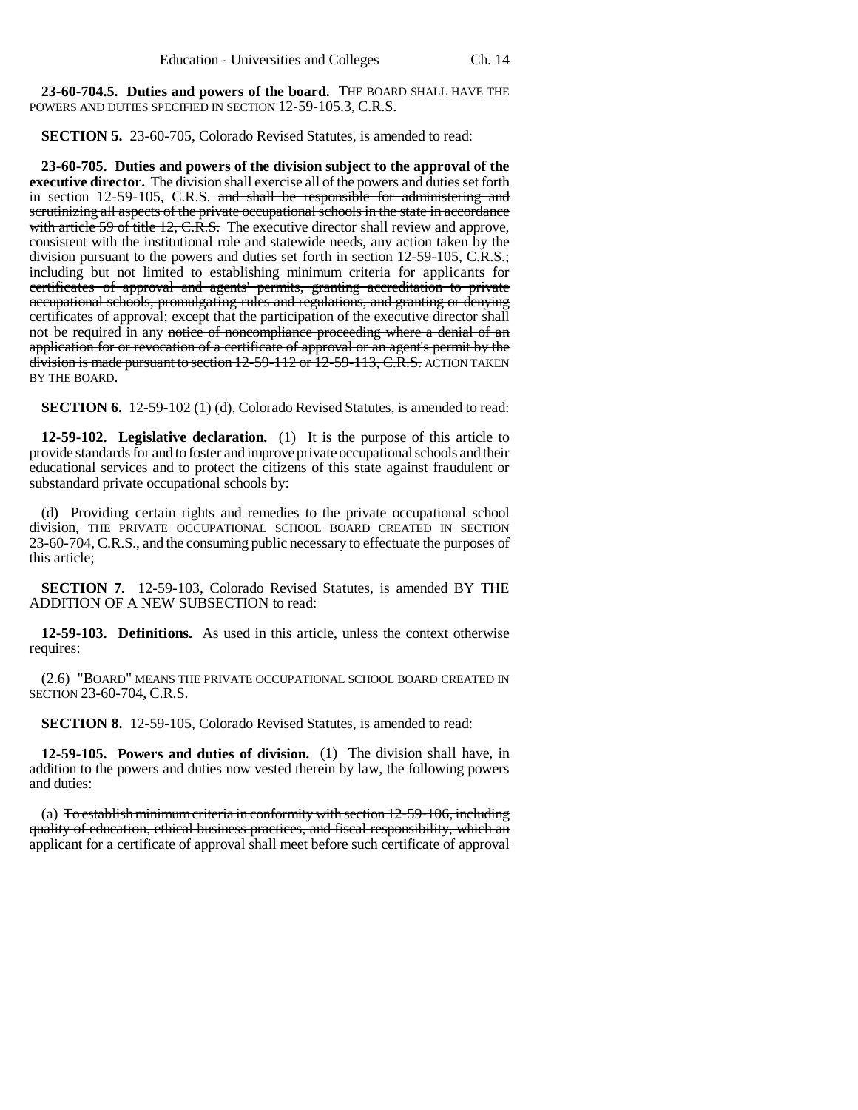**23-60-704.5. Duties and powers of the board.** THE BOARD SHALL HAVE THE POWERS AND DUTIES SPECIFIED IN SECTION 12-59-105.3, C.R.S.

**SECTION 5.** 23-60-705, Colorado Revised Statutes, is amended to read:

**23-60-705. Duties and powers of the division subject to the approval of the executive director.** The division shall exercise all of the powers and duties set forth in section 12-59-105, C.R.S. and shall be responsible for administering and scrutinizing all aspects of the private occupational schools in the state in accordance with article 59 of title 12, C.R.S. The executive director shall review and approve, consistent with the institutional role and statewide needs, any action taken by the division pursuant to the powers and duties set forth in section 12-59-105, C.R.S.; including but not limited to establishing minimum criteria for applicants for certificates of approval and agents' permits, granting accreditation to private occupational schools, promulgating rules and regulations, and granting or denying certificates of approval; except that the participation of the executive director shall not be required in any notice of noncompliance proceeding where a denial of an application for or revocation of a certificate of approval or an agent's permit by the division is made pursuant to section  $12-59-112$  or  $12-59-113$ , C.R.S. ACTION TAKEN BY THE BOARD.

**SECTION 6.** 12-59-102 (1) (d), Colorado Revised Statutes, is amended to read:

**12-59-102. Legislative declaration.** (1) It is the purpose of this article to provide standards for and to foster and improve private occupational schools and their educational services and to protect the citizens of this state against fraudulent or substandard private occupational schools by:

(d) Providing certain rights and remedies to the private occupational school division, THE PRIVATE OCCUPATIONAL SCHOOL BOARD CREATED IN SECTION 23-60-704, C.R.S., and the consuming public necessary to effectuate the purposes of this article;

**SECTION 7.** 12-59-103, Colorado Revised Statutes, is amended BY THE ADDITION OF A NEW SUBSECTION to read:

**12-59-103. Definitions.** As used in this article, unless the context otherwise requires:

(2.6) "BOARD" MEANS THE PRIVATE OCCUPATIONAL SCHOOL BOARD CREATED IN SECTION 23-60-704, C.R.S.

**SECTION 8.** 12-59-105, Colorado Revised Statutes, is amended to read:

**12-59-105. Powers and duties of division.** (1) The division shall have, in addition to the powers and duties now vested therein by law, the following powers and duties:

(a) To establish minimum criteria in conformity with section 12-59-106, including quality of education, ethical business practices, and fiscal responsibility, which an applicant for a certificate of approval shall meet before such certificate of approval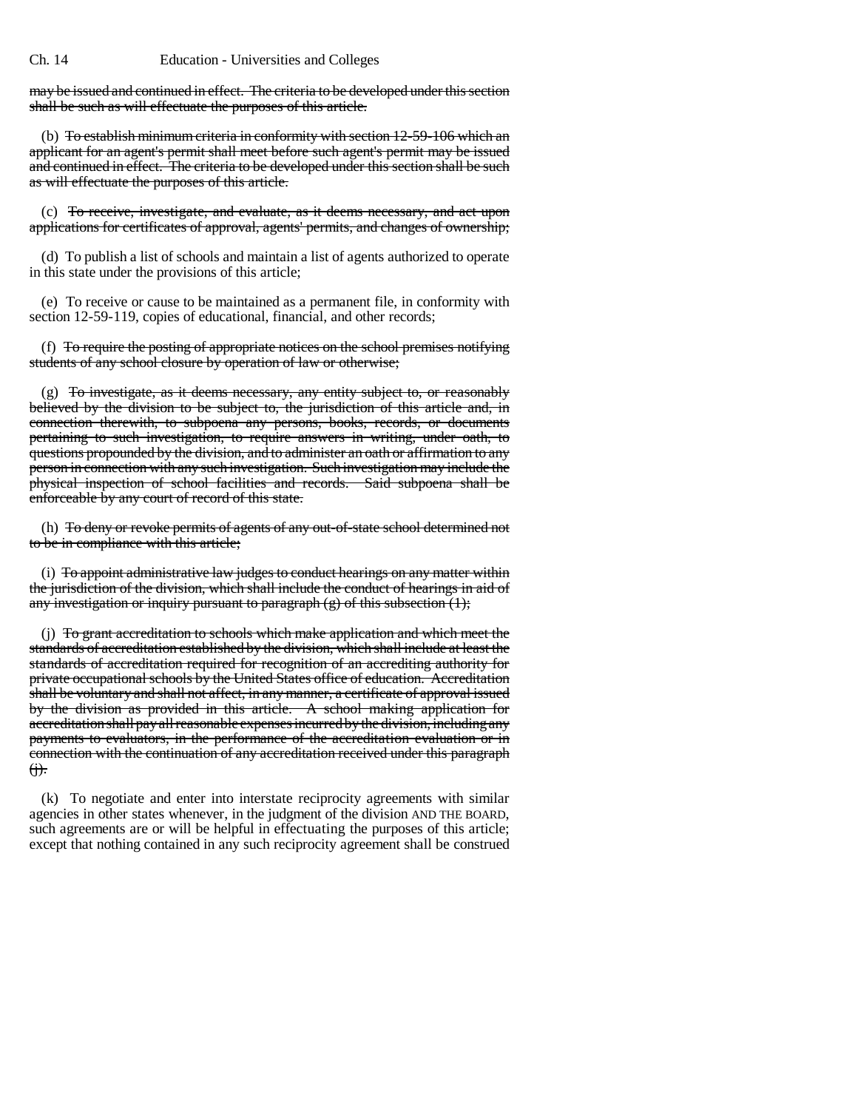may be issued and continued in effect. The criteria to be developed under this section shall be such as will effectuate the purposes of this article.

(b) To establish minimum criteria in conformity with section 12-59-106 which an applicant for an agent's permit shall meet before such agent's permit may be issued and continued in effect. The criteria to be developed under this section shall be such as will effectuate the purposes of this article.

(c) To receive, investigate, and evaluate, as it deems necessary, and act upon applications for certificates of approval, agents' permits, and changes of ownership;

(d) To publish a list of schools and maintain a list of agents authorized to operate in this state under the provisions of this article;

(e) To receive or cause to be maintained as a permanent file, in conformity with section 12-59-119, copies of educational, financial, and other records;

(f) To require the posting of appropriate notices on the school premises notifying students of any school closure by operation of law or otherwise;

(g) To investigate, as it deems necessary, any entity subject to, or reasonably believed by the division to be subject to, the jurisdiction of this article and, in connection therewith, to subpoena any persons, books, records, or documents pertaining to such investigation, to require answers in writing, under oath, to questions propounded by the division, and to administer an oath or affirmation to any person in connection with any such investigation. Such investigation may include the physical inspection of school facilities and records. Said subpoena shall be enforceable by any court of record of this state.

(h) To deny or revoke permits of agents of any out-of-state school determined not to be in compliance with this article;

(i) To appoint administrative law judges to conduct hearings on any matter within the jurisdiction of the division, which shall include the conduct of hearings in aid of any investigation or inquiry pursuant to paragraph  $(g)$  of this subsection  $(1)$ ;

(j) To grant accreditation to schools which make application and which meet the standards of accreditation established by the division, which shall include at least the standards of accreditation required for recognition of an accrediting authority for private occupational schools by the United States office of education. Accreditation shall be voluntary and shall not affect, in any manner, a certificate of approval issued by the division as provided in this article. A school making application for accreditation shall pay all reasonable expenses incurred by the division, including any payments to evaluators, in the performance of the accreditation evaluation or in connection with the continuation of any accreditation received under this paragraph  $<sub>0</sub>$ .</sub>

(k) To negotiate and enter into interstate reciprocity agreements with similar agencies in other states whenever, in the judgment of the division AND THE BOARD, such agreements are or will be helpful in effectuating the purposes of this article; except that nothing contained in any such reciprocity agreement shall be construed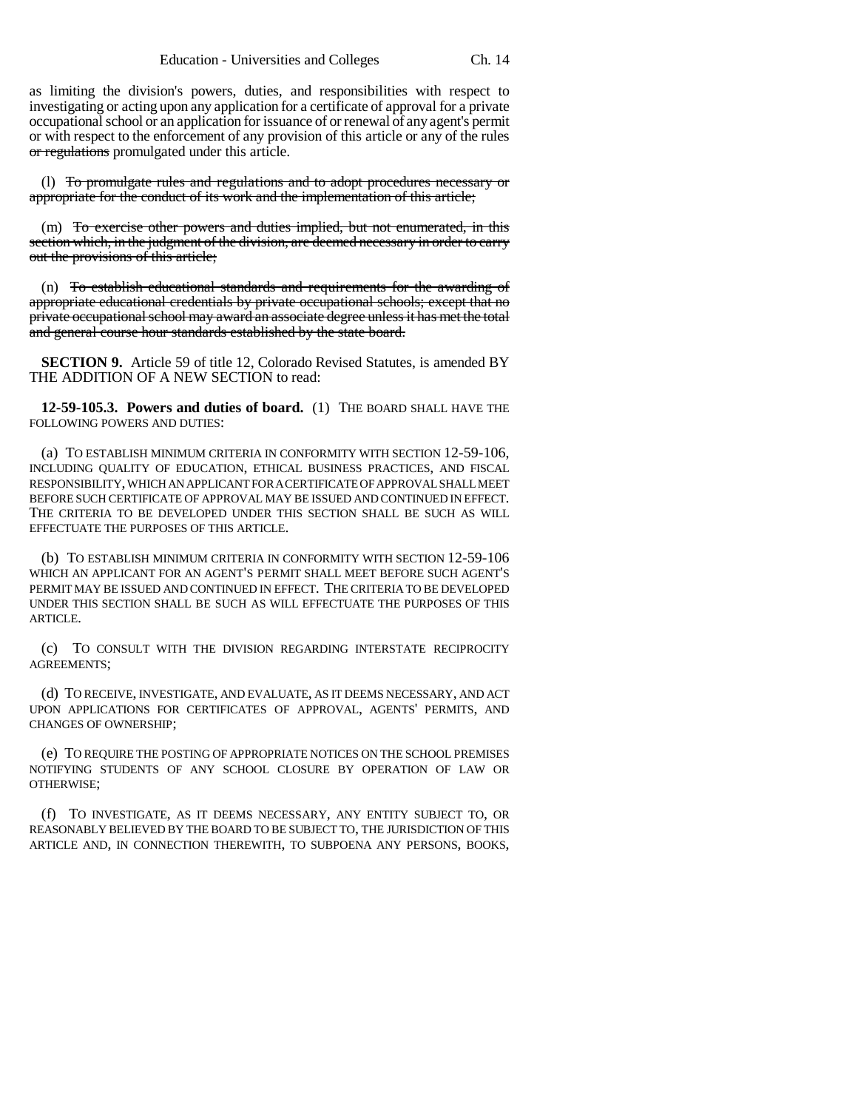as limiting the division's powers, duties, and responsibilities with respect to investigating or acting upon any application for a certificate of approval for a private occupational school or an application for issuance of or renewal of any agent's permit or with respect to the enforcement of any provision of this article or any of the rules or regulations promulgated under this article.

(l) To promulgate rules and regulations and to adopt procedures necessary or appropriate for the conduct of its work and the implementation of this article;

(m) To exercise other powers and duties implied, but not enumerated, in this section which, in the judgment of the division, are deemed necessary in order to carry out the provisions of this article;

(n) To establish educational standards and requirements for the awarding of appropriate educational credentials by private occupational schools; except that no private occupational school may award an associate degree unless it has met the total and general course hour standards established by the state board.

**SECTION 9.** Article 59 of title 12, Colorado Revised Statutes, is amended BY THE ADDITION OF A NEW SECTION to read:

**12-59-105.3. Powers and duties of board.** (1) THE BOARD SHALL HAVE THE FOLLOWING POWERS AND DUTIES:

(a) TO ESTABLISH MINIMUM CRITERIA IN CONFORMITY WITH SECTION 12-59-106, INCLUDING QUALITY OF EDUCATION, ETHICAL BUSINESS PRACTICES, AND FISCAL RESPONSIBILITY, WHICH AN APPLICANT FOR A CERTIFICATE OF APPROVAL SHALL MEET BEFORE SUCH CERTIFICATE OF APPROVAL MAY BE ISSUED AND CONTINUED IN EFFECT. THE CRITERIA TO BE DEVELOPED UNDER THIS SECTION SHALL BE SUCH AS WILL EFFECTUATE THE PURPOSES OF THIS ARTICLE.

(b) TO ESTABLISH MINIMUM CRITERIA IN CONFORMITY WITH SECTION 12-59-106 WHICH AN APPLICANT FOR AN AGENT'S PERMIT SHALL MEET BEFORE SUCH AGENT'S PERMIT MAY BE ISSUED AND CONTINUED IN EFFECT. THE CRITERIA TO BE DEVELOPED UNDER THIS SECTION SHALL BE SUCH AS WILL EFFECTUATE THE PURPOSES OF THIS ARTICLE.

(c) TO CONSULT WITH THE DIVISION REGARDING INTERSTATE RECIPROCITY AGREEMENTS;

(d) TO RECEIVE, INVESTIGATE, AND EVALUATE, AS IT DEEMS NECESSARY, AND ACT UPON APPLICATIONS FOR CERTIFICATES OF APPROVAL, AGENTS' PERMITS, AND CHANGES OF OWNERSHIP;

(e) TO REQUIRE THE POSTING OF APPROPRIATE NOTICES ON THE SCHOOL PREMISES NOTIFYING STUDENTS OF ANY SCHOOL CLOSURE BY OPERATION OF LAW OR OTHERWISE;

(f) TO INVESTIGATE, AS IT DEEMS NECESSARY, ANY ENTITY SUBJECT TO, OR REASONABLY BELIEVED BY THE BOARD TO BE SUBJECT TO, THE JURISDICTION OF THIS ARTICLE AND, IN CONNECTION THEREWITH, TO SUBPOENA ANY PERSONS, BOOKS,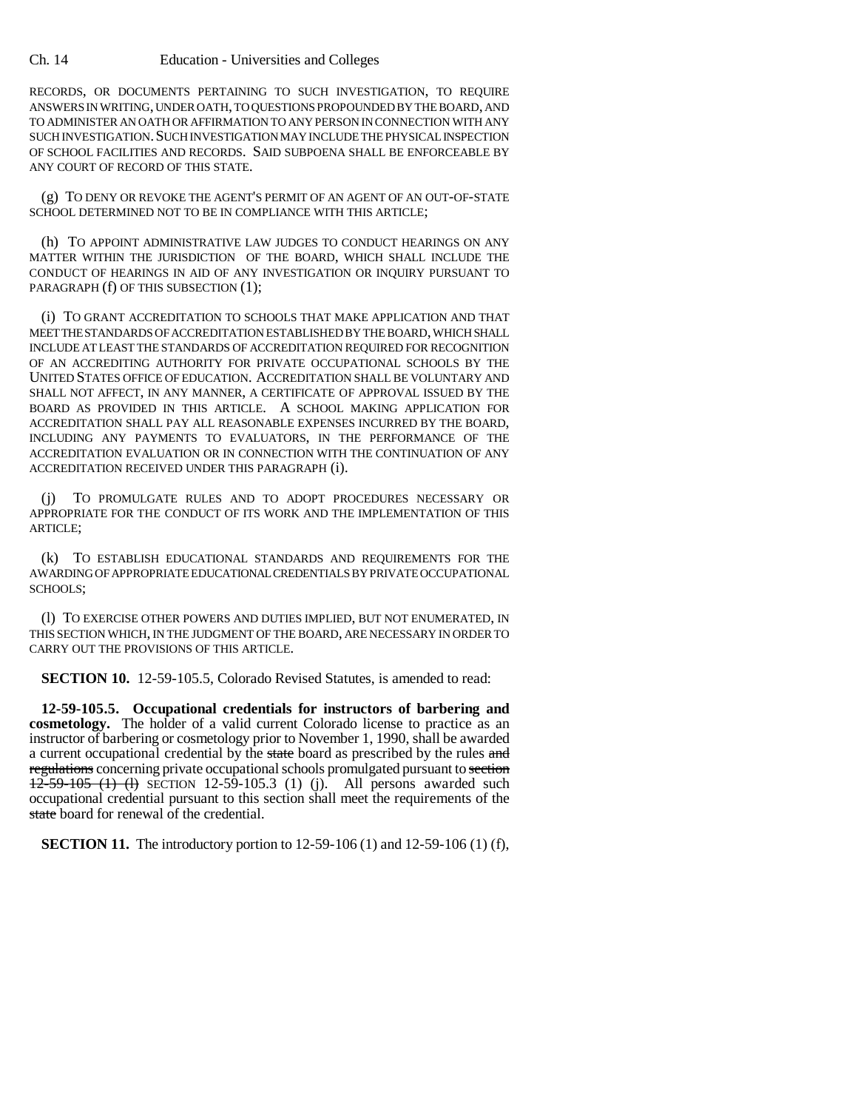RECORDS, OR DOCUMENTS PERTAINING TO SUCH INVESTIGATION, TO REQUIRE ANSWERS IN WRITING, UNDER OATH, TO QUESTIONS PROPOUNDED BY THE BOARD, AND TO ADMINISTER AN OATH OR AFFIRMATION TO ANY PERSON IN CONNECTION WITH ANY SUCH INVESTIGATION. SUCH INVESTIGATION MAY INCLUDE THE PHYSICAL INSPECTION OF SCHOOL FACILITIES AND RECORDS. SAID SUBPOENA SHALL BE ENFORCEABLE BY ANY COURT OF RECORD OF THIS STATE.

(g) TO DENY OR REVOKE THE AGENT'S PERMIT OF AN AGENT OF AN OUT-OF-STATE SCHOOL DETERMINED NOT TO BE IN COMPLIANCE WITH THIS ARTICLE;

(h) TO APPOINT ADMINISTRATIVE LAW JUDGES TO CONDUCT HEARINGS ON ANY MATTER WITHIN THE JURISDICTION OF THE BOARD, WHICH SHALL INCLUDE THE CONDUCT OF HEARINGS IN AID OF ANY INVESTIGATION OR INQUIRY PURSUANT TO PARAGRAPH (f) OF THIS SUBSECTION (1);

(i) TO GRANT ACCREDITATION TO SCHOOLS THAT MAKE APPLICATION AND THAT MEET THE STANDARDS OF ACCREDITATION ESTABLISHED BY THE BOARD, WHICH SHALL INCLUDE AT LEAST THE STANDARDS OF ACCREDITATION REQUIRED FOR RECOGNITION OF AN ACCREDITING AUTHORITY FOR PRIVATE OCCUPATIONAL SCHOOLS BY THE UNITED STATES OFFICE OF EDUCATION. ACCREDITATION SHALL BE VOLUNTARY AND SHALL NOT AFFECT, IN ANY MANNER, A CERTIFICATE OF APPROVAL ISSUED BY THE BOARD AS PROVIDED IN THIS ARTICLE. A SCHOOL MAKING APPLICATION FOR ACCREDITATION SHALL PAY ALL REASONABLE EXPENSES INCURRED BY THE BOARD, INCLUDING ANY PAYMENTS TO EVALUATORS, IN THE PERFORMANCE OF THE ACCREDITATION EVALUATION OR IN CONNECTION WITH THE CONTINUATION OF ANY ACCREDITATION RECEIVED UNDER THIS PARAGRAPH (i).

(j) TO PROMULGATE RULES AND TO ADOPT PROCEDURES NECESSARY OR APPROPRIATE FOR THE CONDUCT OF ITS WORK AND THE IMPLEMENTATION OF THIS ARTICLE;

(k) TO ESTABLISH EDUCATIONAL STANDARDS AND REQUIREMENTS FOR THE AWARDING OF APPROPRIATE EDUCATIONAL CREDENTIALS BY PRIVATE OCCUPATIONAL SCHOOLS;

(l) TO EXERCISE OTHER POWERS AND DUTIES IMPLIED, BUT NOT ENUMERATED, IN THIS SECTION WHICH, IN THE JUDGMENT OF THE BOARD, ARE NECESSARY IN ORDER TO CARRY OUT THE PROVISIONS OF THIS ARTICLE.

**SECTION 10.** 12-59-105.5, Colorado Revised Statutes, is amended to read:

**12-59-105.5. Occupational credentials for instructors of barbering and cosmetology.** The holder of a valid current Colorado license to practice as an instructor of barbering or cosmetology prior to November 1, 1990, shall be awarded a current occupational credential by the state board as prescribed by the rules and regulations concerning private occupational schools promulgated pursuant to section  $12-59-105$  (1) (i) SECTION 12-59-105.3 (1) (j). All persons awarded such occupational credential pursuant to this section shall meet the requirements of the state board for renewal of the credential.

**SECTION 11.** The introductory portion to 12-59-106 (1) and 12-59-106 (1) (f),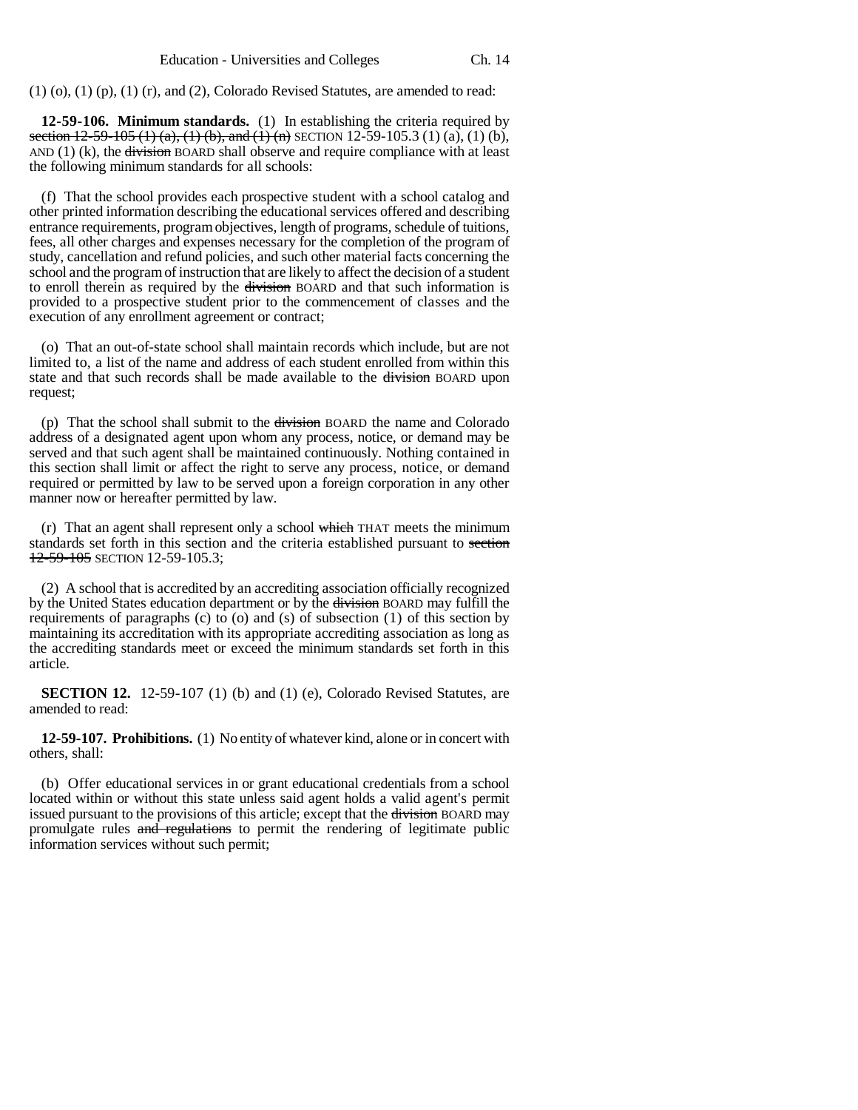$(1)$   $(0)$ ,  $(1)$   $(p)$ ,  $(1)$   $(r)$ , and  $(2)$ , Colorado Revised Statutes, are amended to read:

**12-59-106. Minimum standards.** (1) In establishing the criteria required by section  $12-59-105$  (1) (a), (1) (b), and (1) (n) SECTION 12-59-105.3 (1) (a), (1) (b), AND  $(1)$  (k), the division BOARD shall observe and require compliance with at least the following minimum standards for all schools:

(f) That the school provides each prospective student with a school catalog and other printed information describing the educational services offered and describing entrance requirements, program objectives, length of programs, schedule of tuitions, fees, all other charges and expenses necessary for the completion of the program of study, cancellation and refund policies, and such other material facts concerning the school and the program of instruction that are likely to affect the decision of a student to enroll therein as required by the division BOARD and that such information is provided to a prospective student prior to the commencement of classes and the execution of any enrollment agreement or contract;

(o) That an out-of-state school shall maintain records which include, but are not limited to, a list of the name and address of each student enrolled from within this state and that such records shall be made available to the division BOARD upon request;

(p) That the school shall submit to the division BOARD the name and Colorado address of a designated agent upon whom any process, notice, or demand may be served and that such agent shall be maintained continuously. Nothing contained in this section shall limit or affect the right to serve any process, notice, or demand required or permitted by law to be served upon a foreign corporation in any other manner now or hereafter permitted by law.

 $(r)$  That an agent shall represent only a school which THAT meets the minimum standards set forth in this section and the criteria established pursuant to section 12-59-105 SECTION 12-59-105.3;

(2) A school that is accredited by an accrediting association officially recognized by the United States education department or by the division BOARD may fulfill the requirements of paragraphs (c) to (o) and (s) of subsection  $(1)$  of this section by maintaining its accreditation with its appropriate accrediting association as long as the accrediting standards meet or exceed the minimum standards set forth in this article.

**SECTION 12.** 12-59-107 (1) (b) and (1) (e), Colorado Revised Statutes, are amended to read:

**12-59-107. Prohibitions.** (1) No entity of whatever kind, alone or in concert with others, shall:

(b) Offer educational services in or grant educational credentials from a school located within or without this state unless said agent holds a valid agent's permit issued pursuant to the provisions of this article; except that the division BOARD may promulgate rules and regulations to permit the rendering of legitimate public information services without such permit;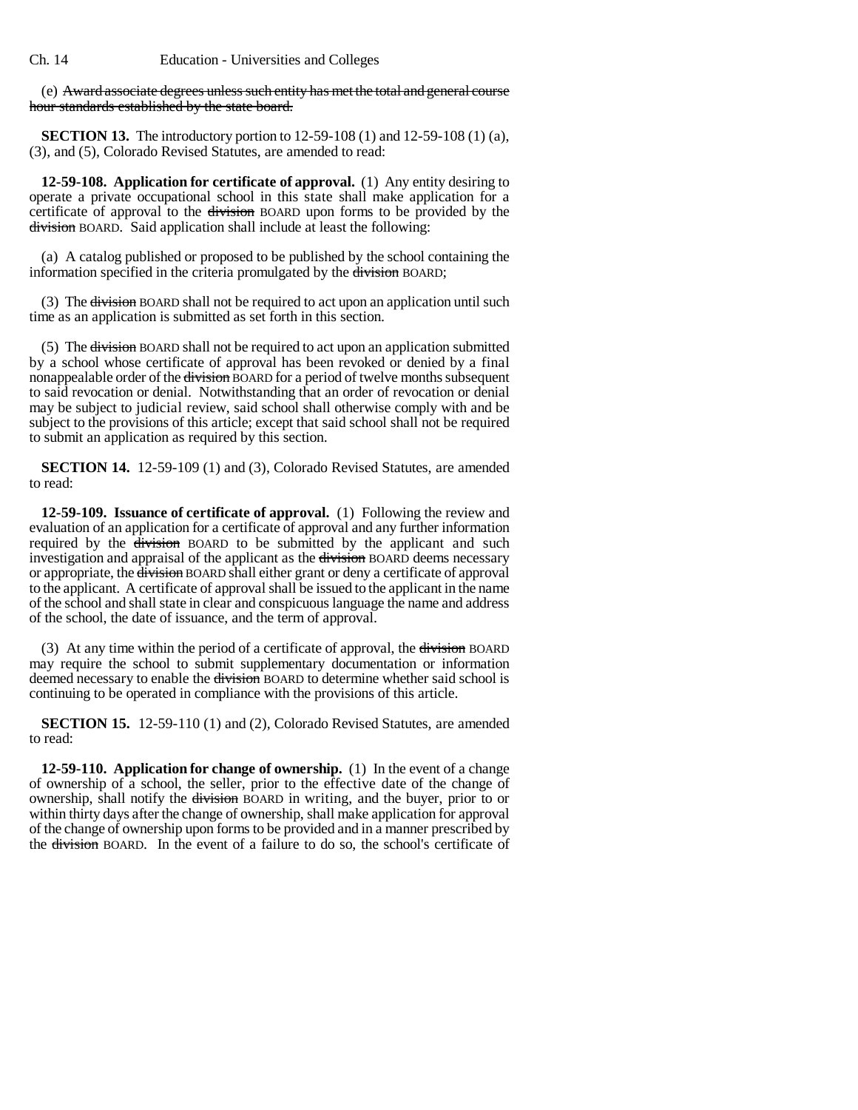(e) Award associate degrees unless such entity has met the total and general course hour standards established by the state board.

**SECTION 13.** The introductory portion to 12-59-108 (1) and 12-59-108 (1) (a), (3), and (5), Colorado Revised Statutes, are amended to read:

**12-59-108. Application for certificate of approval.** (1) Any entity desiring to operate a private occupational school in this state shall make application for a certificate of approval to the division BOARD upon forms to be provided by the division BOARD. Said application shall include at least the following:

(a) A catalog published or proposed to be published by the school containing the information specified in the criteria promulgated by the division BOARD;

(3) The <del>division</del> BOARD shall not be required to act upon an application until such time as an application is submitted as set forth in this section.

(5) The division BOARD shall not be required to act upon an application submitted by a school whose certificate of approval has been revoked or denied by a final nonappealable order of the <del>division</del> BOARD for a period of twelve months subsequent to said revocation or denial. Notwithstanding that an order of revocation or denial may be subject to judicial review, said school shall otherwise comply with and be subject to the provisions of this article; except that said school shall not be required to submit an application as required by this section.

**SECTION 14.** 12-59-109 (1) and (3), Colorado Revised Statutes, are amended to read:

**12-59-109. Issuance of certificate of approval.** (1) Following the review and evaluation of an application for a certificate of approval and any further information required by the division BOARD to be submitted by the applicant and such investigation and appraisal of the applicant as the division BOARD deems necessary or appropriate, the division BOARD shall either grant or deny a certificate of approval to the applicant. A certificate of approval shall be issued to the applicant in the name of the school and shall state in clear and conspicuous language the name and address of the school, the date of issuance, and the term of approval.

(3) At any time within the period of a certificate of approval, the division BOARD may require the school to submit supplementary documentation or information deemed necessary to enable the division BOARD to determine whether said school is continuing to be operated in compliance with the provisions of this article.

**SECTION 15.** 12-59-110 (1) and (2), Colorado Revised Statutes, are amended to read:

**12-59-110. Application for change of ownership.** (1) In the event of a change of ownership of a school, the seller, prior to the effective date of the change of ownership, shall notify the division BOARD in writing, and the buyer, prior to or within thirty days after the change of ownership, shall make application for approval of the change of ownership upon forms to be provided and in a manner prescribed by the division BOARD. In the event of a failure to do so, the school's certificate of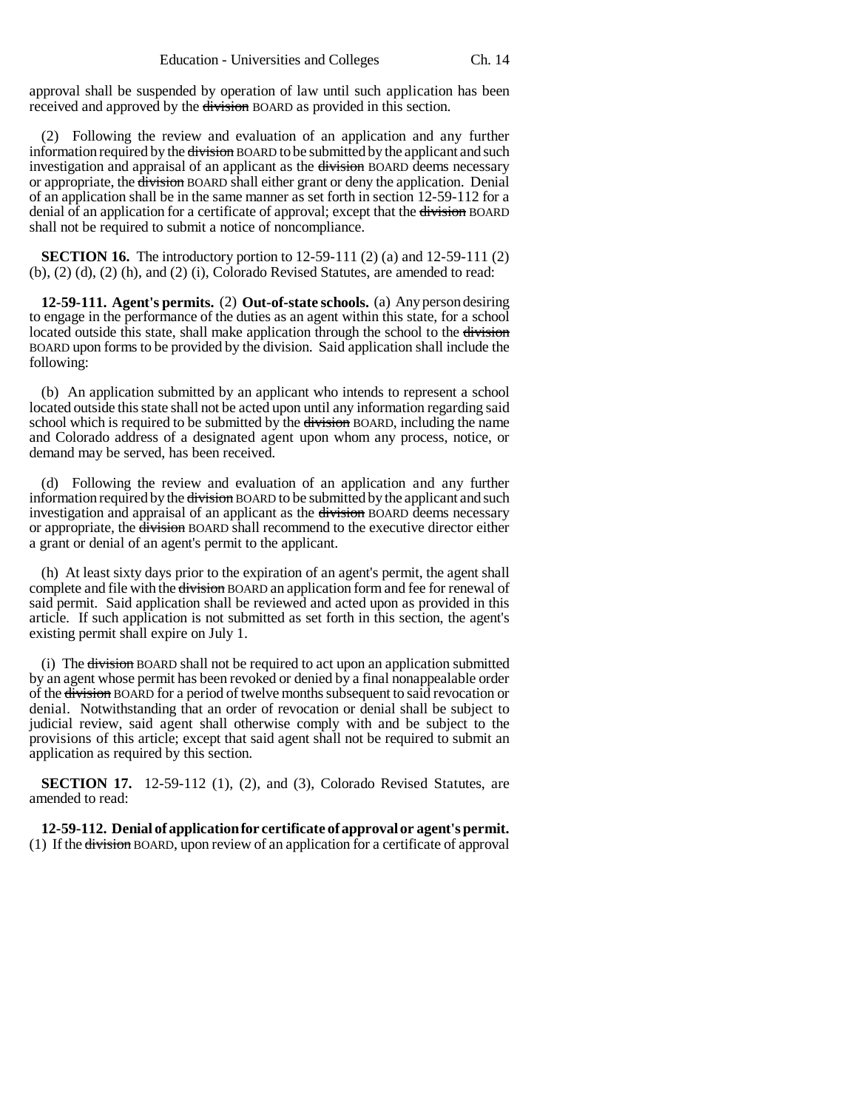approval shall be suspended by operation of law until such application has been received and approved by the division BOARD as provided in this section.

(2) Following the review and evaluation of an application and any further information required by the division BOARD to be submitted by the applicant and such investigation and appraisal of an applicant as the division BOARD deems necessary or appropriate, the division BOARD shall either grant or deny the application. Denial of an application shall be in the same manner as set forth in section 12-59-112 for a denial of an application for a certificate of approval; except that the division BOARD shall not be required to submit a notice of noncompliance.

**SECTION 16.** The introductory portion to 12-59-111 (2) (a) and 12-59-111 (2) (b), (2) (d), (2) (h), and (2) (i), Colorado Revised Statutes, are amended to read:

**12-59-111. Agent's permits.** (2) **Out-of-state schools.** (a) Any person desiring to engage in the performance of the duties as an agent within this state, for a school located outside this state, shall make application through the school to the division BOARD upon forms to be provided by the division. Said application shall include the following:

(b) An application submitted by an applicant who intends to represent a school located outside this state shall not be acted upon until any information regarding said school which is required to be submitted by the division BOARD, including the name and Colorado address of a designated agent upon whom any process, notice, or demand may be served, has been received.

(d) Following the review and evaluation of an application and any further information required by the <del>division</del> BOARD to be submitted by the applicant and such investigation and appraisal of an applicant as the division BOARD deems necessary or appropriate, the division BOARD shall recommend to the executive director either a grant or denial of an agent's permit to the applicant.

(h) At least sixty days prior to the expiration of an agent's permit, the agent shall complete and file with the <del>division</del> BOARD an application form and fee for renewal of said permit. Said application shall be reviewed and acted upon as provided in this article. If such application is not submitted as set forth in this section, the agent's existing permit shall expire on July 1.

(i) The division BOARD shall not be required to act upon an application submitted by an agent whose permit has been revoked or denied by a final nonappealable order of the division BOARD for a period of twelve months subsequent to said revocation or denial. Notwithstanding that an order of revocation or denial shall be subject to judicial review, said agent shall otherwise comply with and be subject to the provisions of this article; except that said agent shall not be required to submit an application as required by this section.

**SECTION 17.** 12-59-112 (1), (2), and (3), Colorado Revised Statutes, are amended to read:

**12-59-112. Denial of application for certificate of approval or agent's permit.** (1) If the division BOARD, upon review of an application for a certificate of approval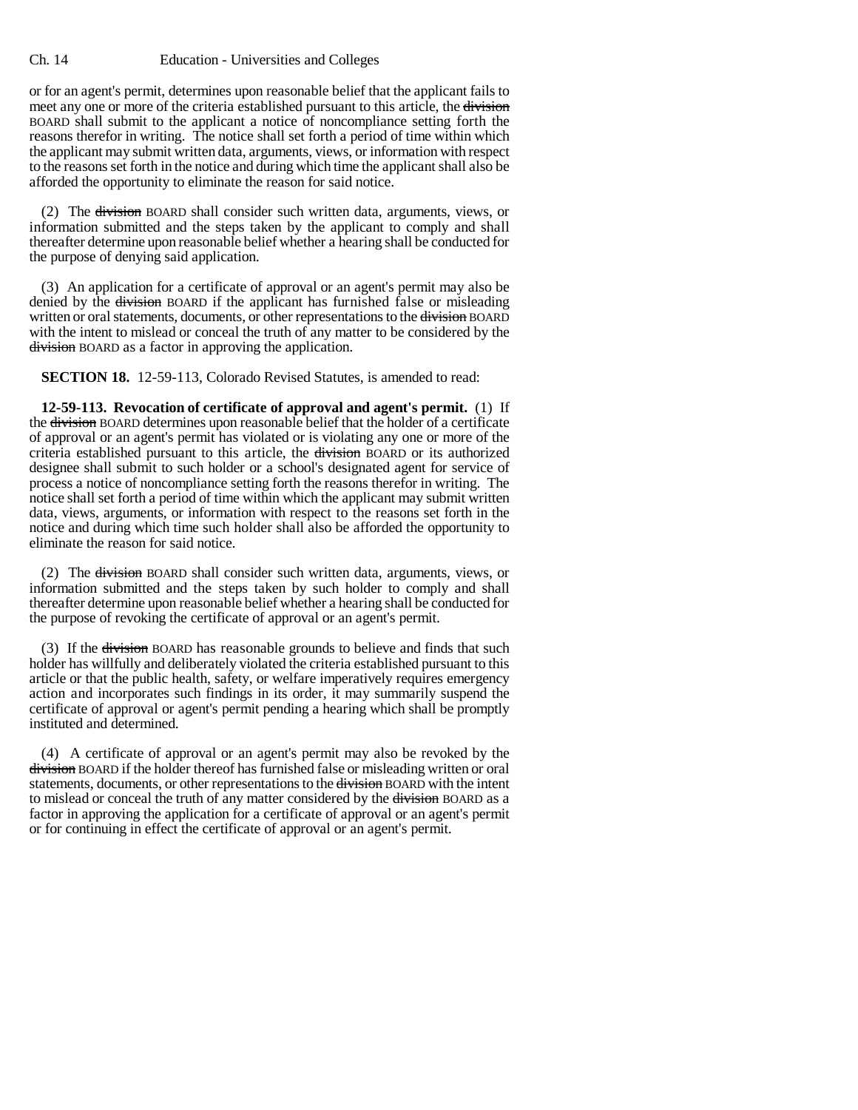or for an agent's permit, determines upon reasonable belief that the applicant fails to meet any one or more of the criteria established pursuant to this article, the division BOARD shall submit to the applicant a notice of noncompliance setting forth the reasons therefor in writing. The notice shall set forth a period of time within which the applicant may submit written data, arguments, views, or information with respect to the reasons set forth in the notice and during which time the applicant shall also be afforded the opportunity to eliminate the reason for said notice.

(2) The division BOARD shall consider such written data, arguments, views, or information submitted and the steps taken by the applicant to comply and shall thereafter determine upon reasonable belief whether a hearing shall be conducted for the purpose of denying said application.

(3) An application for a certificate of approval or an agent's permit may also be denied by the <del>division</del> BOARD if the applicant has furnished false or misleading written or oral statements, documents, or other representations to the division BOARD with the intent to mislead or conceal the truth of any matter to be considered by the division BOARD as a factor in approving the application.

**SECTION 18.** 12-59-113, Colorado Revised Statutes, is amended to read:

**12-59-113. Revocation of certificate of approval and agent's permit.** (1) If the division BOARD determines upon reasonable belief that the holder of a certificate of approval or an agent's permit has violated or is violating any one or more of the criteria established pursuant to this article, the division BOARD or its authorized designee shall submit to such holder or a school's designated agent for service of process a notice of noncompliance setting forth the reasons therefor in writing. The notice shall set forth a period of time within which the applicant may submit written data, views, arguments, or information with respect to the reasons set forth in the notice and during which time such holder shall also be afforded the opportunity to eliminate the reason for said notice.

(2) The division BOARD shall consider such written data, arguments, views, or information submitted and the steps taken by such holder to comply and shall thereafter determine upon reasonable belief whether a hearing shall be conducted for the purpose of revoking the certificate of approval or an agent's permit.

(3) If the division BOARD has reasonable grounds to believe and finds that such holder has willfully and deliberately violated the criteria established pursuant to this article or that the public health, safety, or welfare imperatively requires emergency action and incorporates such findings in its order, it may summarily suspend the certificate of approval or agent's permit pending a hearing which shall be promptly instituted and determined.

(4) A certificate of approval or an agent's permit may also be revoked by the division BOARD if the holder thereof has furnished false or misleading written or oral statements, documents, or other representations to the division BOARD with the intent to mislead or conceal the truth of any matter considered by the <del>division</del> BOARD as a factor in approving the application for a certificate of approval or an agent's permit or for continuing in effect the certificate of approval or an agent's permit.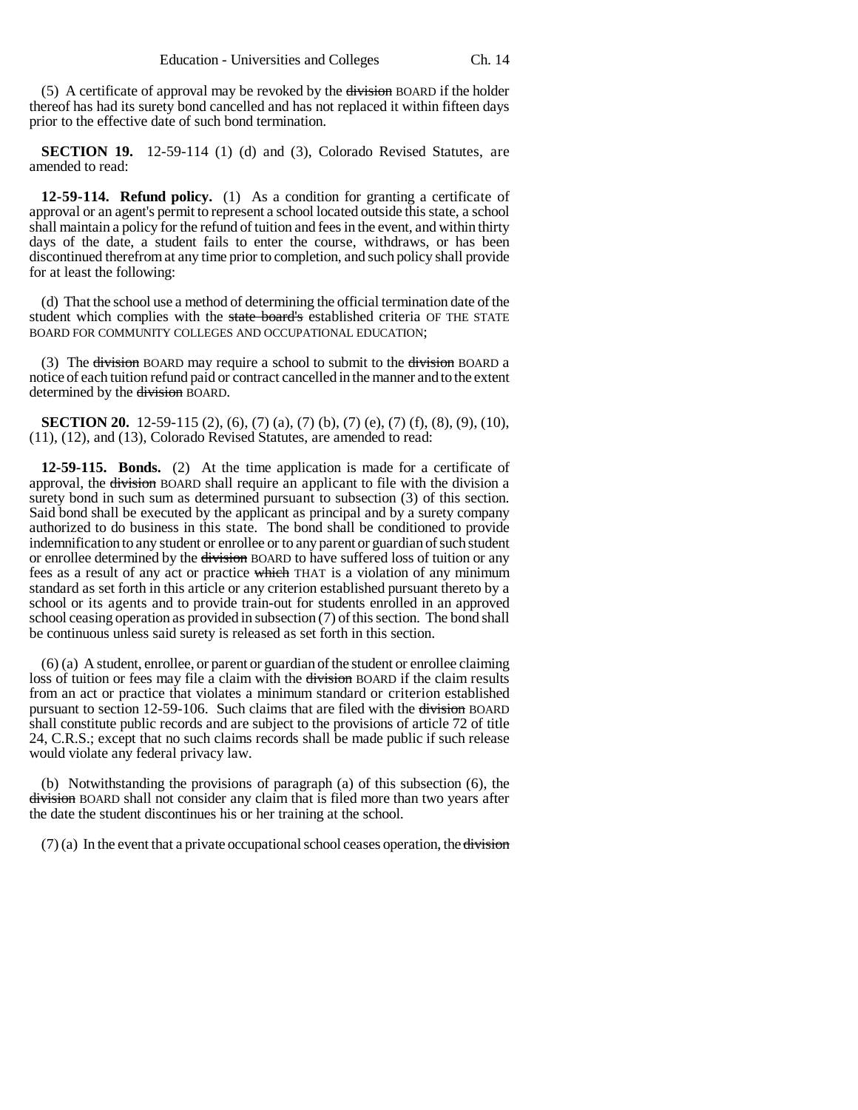(5) A certificate of approval may be revoked by the division BOARD if the holder thereof has had its surety bond cancelled and has not replaced it within fifteen days prior to the effective date of such bond termination.

**SECTION 19.** 12-59-114 (1) (d) and (3), Colorado Revised Statutes, are amended to read:

**12-59-114. Refund policy.** (1) As a condition for granting a certificate of approval or an agent's permit to represent a school located outside this state, a school shall maintain a policy for the refund of tuition and fees in the event, and within thirty days of the date, a student fails to enter the course, withdraws, or has been discontinued therefrom at any time prior to completion, and such policy shall provide for at least the following:

(d) That the school use a method of determining the official termination date of the student which complies with the state board's established criteria OF THE STATE BOARD FOR COMMUNITY COLLEGES AND OCCUPATIONAL EDUCATION;

(3) The division BOARD may require a school to submit to the division BOARD a notice of each tuition refund paid or contract cancelled in the manner and to the extent determined by the division BOARD.

**SECTION 20.** 12-59-115 (2), (6), (7) (a), (7) (b), (7) (e), (7) (f), (8), (9), (10), (11), (12), and (13), Colorado Revised Statutes, are amended to read:

**12-59-115. Bonds.** (2) At the time application is made for a certificate of approval, the division BOARD shall require an applicant to file with the division a surety bond in such sum as determined pursuant to subsection (3) of this section. Said bond shall be executed by the applicant as principal and by a surety company authorized to do business in this state. The bond shall be conditioned to provide indemnification to any student or enrollee or to any parent or guardian of such student or enrollee determined by the division BOARD to have suffered loss of tuition or any fees as a result of any act or practice which THAT is a violation of any minimum standard as set forth in this article or any criterion established pursuant thereto by a school or its agents and to provide train-out for students enrolled in an approved school ceasing operation as provided in subsection (7) of this section. The bond shall be continuous unless said surety is released as set forth in this section.

(6) (a) A student, enrollee, or parent or guardian of the student or enrollee claiming loss of tuition or fees may file a claim with the division BOARD if the claim results from an act or practice that violates a minimum standard or criterion established pursuant to section 12-59-106. Such claims that are filed with the division BOARD shall constitute public records and are subject to the provisions of article 72 of title 24, C.R.S.; except that no such claims records shall be made public if such release would violate any federal privacy law.

(b) Notwithstanding the provisions of paragraph (a) of this subsection (6), the division BOARD shall not consider any claim that is filed more than two years after the date the student discontinues his or her training at the school.

 $(7)$  (a) In the event that a private occupational school ceases operation, the division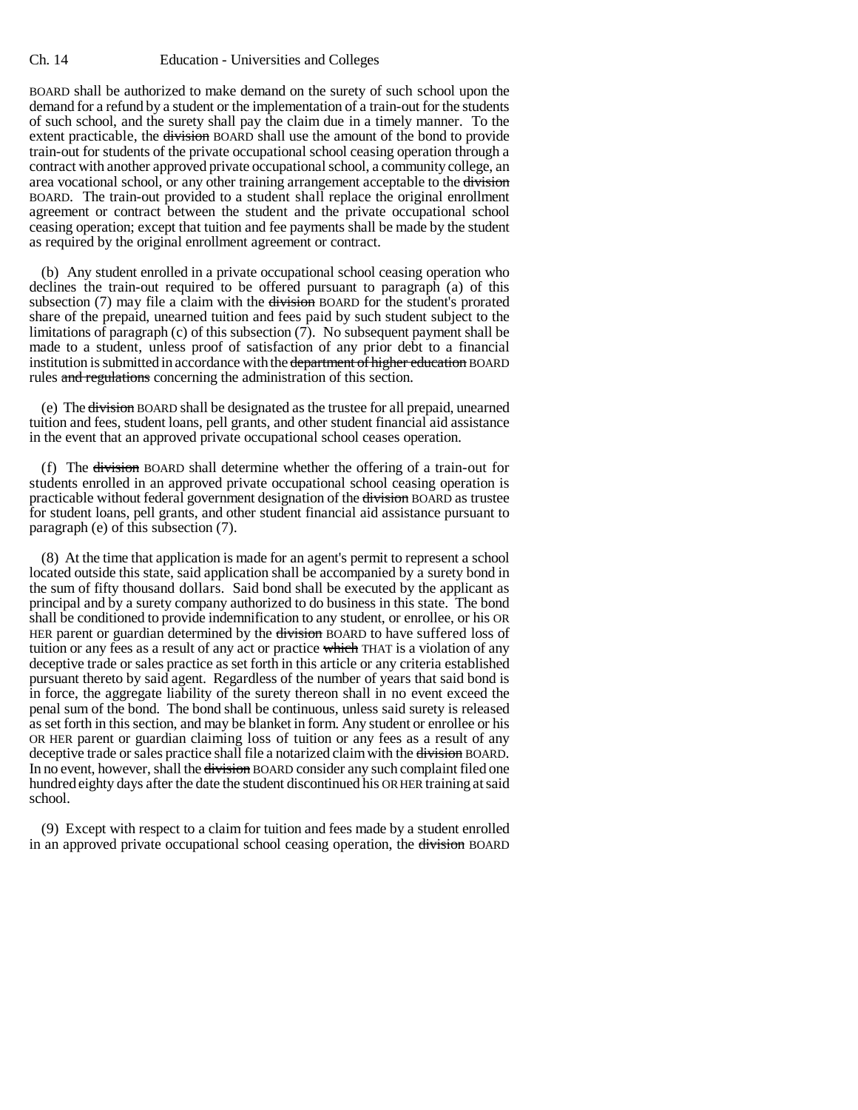BOARD shall be authorized to make demand on the surety of such school upon the demand for a refund by a student or the implementation of a train-out for the students of such school, and the surety shall pay the claim due in a timely manner. To the extent practicable, the <del>division</del> BOARD shall use the amount of the bond to provide train-out for students of the private occupational school ceasing operation through a contract with another approved private occupational school, a community college, an area vocational school, or any other training arrangement acceptable to the division BOARD. The train-out provided to a student shall replace the original enrollment agreement or contract between the student and the private occupational school ceasing operation; except that tuition and fee payments shall be made by the student as required by the original enrollment agreement or contract.

(b) Any student enrolled in a private occupational school ceasing operation who declines the train-out required to be offered pursuant to paragraph (a) of this subsection (7) may file a claim with the division BOARD for the student's prorated share of the prepaid, unearned tuition and fees paid by such student subject to the limitations of paragraph (c) of this subsection (7). No subsequent payment shall be made to a student, unless proof of satisfaction of any prior debt to a financial institution is submitted in accordance with the department of higher education BOARD rules and regulations concerning the administration of this section.

(e) The division BOARD shall be designated as the trustee for all prepaid, unearned tuition and fees, student loans, pell grants, and other student financial aid assistance in the event that an approved private occupational school ceases operation.

(f) The division BOARD shall determine whether the offering of a train-out for students enrolled in an approved private occupational school ceasing operation is practicable without federal government designation of the division BOARD as trustee for student loans, pell grants, and other student financial aid assistance pursuant to paragraph (e) of this subsection (7).

(8) At the time that application is made for an agent's permit to represent a school located outside this state, said application shall be accompanied by a surety bond in the sum of fifty thousand dollars. Said bond shall be executed by the applicant as principal and by a surety company authorized to do business in this state. The bond shall be conditioned to provide indemnification to any student, or enrollee, or his OR HER parent or guardian determined by the division BOARD to have suffered loss of tuition or any fees as a result of any act or practice which THAT is a violation of any deceptive trade or sales practice as set forth in this article or any criteria established pursuant thereto by said agent. Regardless of the number of years that said bond is in force, the aggregate liability of the surety thereon shall in no event exceed the penal sum of the bond. The bond shall be continuous, unless said surety is released as set forth in this section, and may be blanket in form. Any student or enrollee or his OR HER parent or guardian claiming loss of tuition or any fees as a result of any deceptive trade or sales practice shall file a notarized claim with the division BOARD. In no event, however, shall the <del>division</del> BOARD consider any such complaint filed one hundred eighty days after the date the student discontinued his OR HER training at said school.

(9) Except with respect to a claim for tuition and fees made by a student enrolled in an approved private occupational school ceasing operation, the division BOARD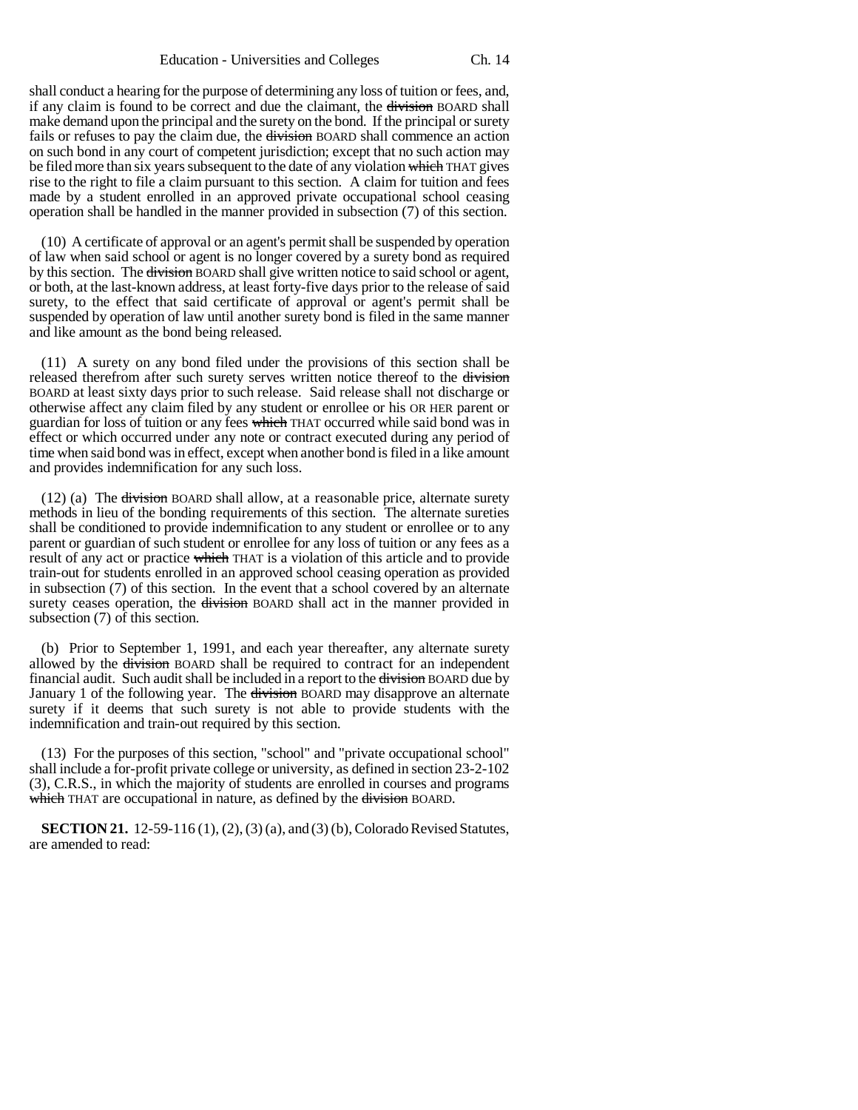shall conduct a hearing for the purpose of determining any loss of tuition or fees, and, if any claim is found to be correct and due the claimant, the division BOARD shall make demand upon the principal and the surety on the bond. If the principal or surety fails or refuses to pay the claim due, the <del>division</del> BOARD shall commence an action on such bond in any court of competent jurisdiction; except that no such action may be filed more than six years subsequent to the date of any violation which THAT gives rise to the right to file a claim pursuant to this section. A claim for tuition and fees made by a student enrolled in an approved private occupational school ceasing operation shall be handled in the manner provided in subsection (7) of this section.

(10) A certificate of approval or an agent's permit shall be suspended by operation of law when said school or agent is no longer covered by a surety bond as required by this section. The division BOARD shall give written notice to said school or agent, or both, at the last-known address, at least forty-five days prior to the release of said surety, to the effect that said certificate of approval or agent's permit shall be suspended by operation of law until another surety bond is filed in the same manner and like amount as the bond being released.

(11) A surety on any bond filed under the provisions of this section shall be released therefrom after such surety serves written notice thereof to the division BOARD at least sixty days prior to such release. Said release shall not discharge or otherwise affect any claim filed by any student or enrollee or his OR HER parent or guardian for loss of tuition or any fees which THAT occurred while said bond was in effect or which occurred under any note or contract executed during any period of time when said bond was in effect, except when another bond is filed in a like amount and provides indemnification for any such loss.

(12) (a) The division BOARD shall allow, at a reasonable price, alternate surety methods in lieu of the bonding requirements of this section. The alternate sureties shall be conditioned to provide indemnification to any student or enrollee or to any parent or guardian of such student or enrollee for any loss of tuition or any fees as a result of any act or practice which THAT is a violation of this article and to provide train-out for students enrolled in an approved school ceasing operation as provided in subsection (7) of this section. In the event that a school covered by an alternate surety ceases operation, the division BOARD shall act in the manner provided in subsection (7) of this section.

(b) Prior to September 1, 1991, and each year thereafter, any alternate surety allowed by the division BOARD shall be required to contract for an independent financial audit. Such audit shall be included in a report to the division BOARD due by January 1 of the following year. The division BOARD may disapprove an alternate surety if it deems that such surety is not able to provide students with the indemnification and train-out required by this section.

(13) For the purposes of this section, "school" and "private occupational school" shall include a for-profit private college or university, as defined in section 23-2-102 (3), C.R.S., in which the majority of students are enrolled in courses and programs which THAT are occupational in nature, as defined by the division BOARD.

**SECTION 21.** 12-59-116 (1), (2), (3) (a), and (3) (b), Colorado Revised Statutes, are amended to read: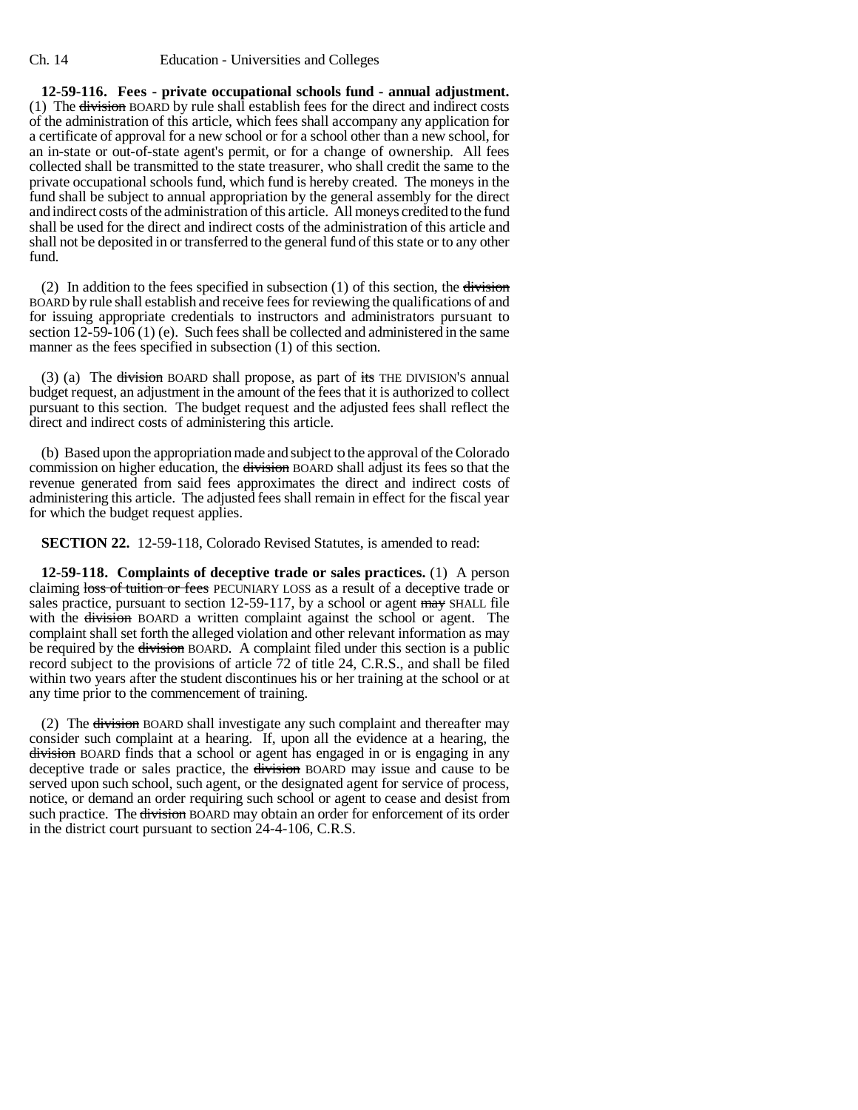**12-59-116. Fees - private occupational schools fund - annual adjustment.** (1) The division BOARD by rule shall establish fees for the direct and indirect costs of the administration of this article, which fees shall accompany any application for a certificate of approval for a new school or for a school other than a new school, for an in-state or out-of-state agent's permit, or for a change of ownership. All fees collected shall be transmitted to the state treasurer, who shall credit the same to the private occupational schools fund, which fund is hereby created. The moneys in the fund shall be subject to annual appropriation by the general assembly for the direct and indirect costs of the administration of this article. All moneys credited to the fund shall be used for the direct and indirect costs of the administration of this article and shall not be deposited in or transferred to the general fund of this state or to any other fund.

(2) In addition to the fees specified in subsection  $(1)$  of this section, the division BOARD by rule shall establish and receive fees for reviewing the qualifications of and for issuing appropriate credentials to instructors and administrators pursuant to section 12-59-106 (1) (e). Such fees shall be collected and administered in the same manner as the fees specified in subsection (1) of this section.

(3) (a) The  $division$  BOARD shall propose, as part of  $its$  THE DIVISION'S annual budget request, an adjustment in the amount of the fees that it is authorized to collect pursuant to this section. The budget request and the adjusted fees shall reflect the direct and indirect costs of administering this article.

(b) Based upon the appropriation made and subject to the approval of the Colorado commission on higher education, the division BOARD shall adjust its fees so that the revenue generated from said fees approximates the direct and indirect costs of administering this article. The adjusted fees shall remain in effect for the fiscal year for which the budget request applies.

**SECTION 22.** 12-59-118, Colorado Revised Statutes, is amended to read:

**12-59-118. Complaints of deceptive trade or sales practices.** (1) A person claiming loss of tuition or fees PECUNIARY LOSS as a result of a deceptive trade or sales practice, pursuant to section 12-59-117, by a school or agent may SHALL file with the <del>division</del> BOARD a written complaint against the school or agent. The complaint shall set forth the alleged violation and other relevant information as may be required by the division BOARD. A complaint filed under this section is a public record subject to the provisions of article 72 of title 24, C.R.S., and shall be filed within two years after the student discontinues his or her training at the school or at any time prior to the commencement of training.

(2) The division BOARD shall investigate any such complaint and thereafter may consider such complaint at a hearing. If, upon all the evidence at a hearing, the division BOARD finds that a school or agent has engaged in or is engaging in any deceptive trade or sales practice, the division BOARD may issue and cause to be served upon such school, such agent, or the designated agent for service of process, notice, or demand an order requiring such school or agent to cease and desist from such practice. The division BOARD may obtain an order for enforcement of its order in the district court pursuant to section 24-4-106, C.R.S.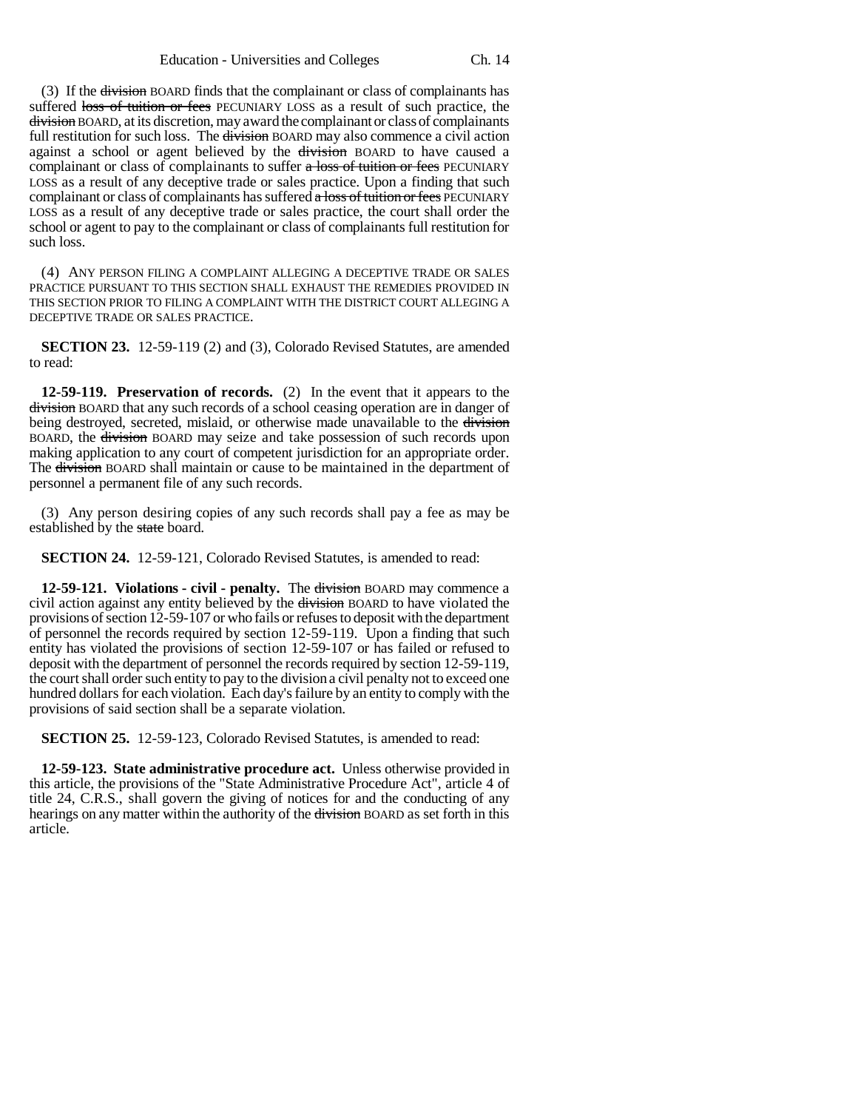(3) If the division BOARD finds that the complainant or class of complainants has suffered loss of tuition or fees PECUNIARY LOSS as a result of such practice, the division BOARD, at its discretion, may award the complainant or class of complainants full restitution for such loss. The <del>division</del> BOARD may also commence a civil action against a school or agent believed by the division BOARD to have caused a complainant or class of complainants to suffer a loss of tuition or fees PECUNIARY LOSS as a result of any deceptive trade or sales practice. Upon a finding that such complainant or class of complainants has suffered a loss of tuition or fees PECUNIARY LOSS as a result of any deceptive trade or sales practice, the court shall order the school or agent to pay to the complainant or class of complainants full restitution for such loss.

(4) ANY PERSON FILING A COMPLAINT ALLEGING A DECEPTIVE TRADE OR SALES PRACTICE PURSUANT TO THIS SECTION SHALL EXHAUST THE REMEDIES PROVIDED IN THIS SECTION PRIOR TO FILING A COMPLAINT WITH THE DISTRICT COURT ALLEGING A DECEPTIVE TRADE OR SALES PRACTICE.

**SECTION 23.** 12-59-119 (2) and (3), Colorado Revised Statutes, are amended to read:

**12-59-119. Preservation of records.** (2) In the event that it appears to the division BOARD that any such records of a school ceasing operation are in danger of being destroyed, secreted, mislaid, or otherwise made unavailable to the division BOARD, the division BOARD may seize and take possession of such records upon making application to any court of competent jurisdiction for an appropriate order. The division BOARD shall maintain or cause to be maintained in the department of personnel a permanent file of any such records.

(3) Any person desiring copies of any such records shall pay a fee as may be established by the state board.

**SECTION 24.** 12-59-121, Colorado Revised Statutes, is amended to read:

**12-59-121. Violations - civil - penalty.** The division BOARD may commence a civil action against any entity believed by the division BOARD to have violated the provisions of section 12-59-107 or who fails or refuses to deposit with the department of personnel the records required by section 12-59-119. Upon a finding that such entity has violated the provisions of section 12-59-107 or has failed or refused to deposit with the department of personnel the records required by section 12-59-119, the court shall order such entity to pay to the division a civil penalty not to exceed one hundred dollars for each violation. Each day's failure by an entity to comply with the provisions of said section shall be a separate violation.

**SECTION 25.** 12-59-123, Colorado Revised Statutes, is amended to read:

**12-59-123. State administrative procedure act.** Unless otherwise provided in this article, the provisions of the "State Administrative Procedure Act", article 4 of title 24, C.R.S., shall govern the giving of notices for and the conducting of any hearings on any matter within the authority of the division BOARD as set forth in this article.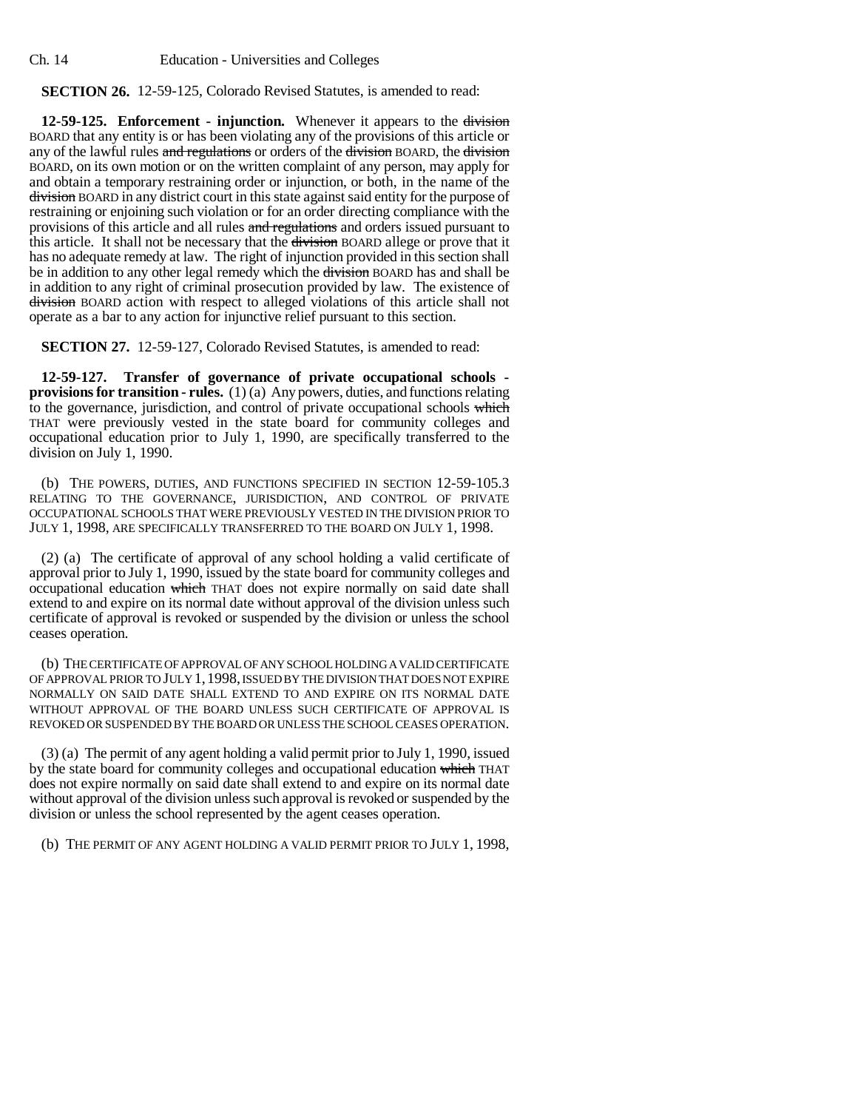### **SECTION 26.** 12-59-125, Colorado Revised Statutes, is amended to read:

**12-59-125. Enforcement - injunction.** Whenever it appears to the division BOARD that any entity is or has been violating any of the provisions of this article or any of the lawful rules and regulations or orders of the division BOARD, the division BOARD, on its own motion or on the written complaint of any person, may apply for and obtain a temporary restraining order or injunction, or both, in the name of the division BOARD in any district court in this state against said entity for the purpose of restraining or enjoining such violation or for an order directing compliance with the provisions of this article and all rules and regulations and orders issued pursuant to this article. It shall not be necessary that the division BOARD allege or prove that it has no adequate remedy at law. The right of injunction provided in this section shall be in addition to any other legal remedy which the division BOARD has and shall be in addition to any right of criminal prosecution provided by law. The existence of division BOARD action with respect to alleged violations of this article shall not operate as a bar to any action for injunctive relief pursuant to this section.

**SECTION 27.** 12-59-127, Colorado Revised Statutes, is amended to read:

**12-59-127. Transfer of governance of private occupational schools provisions for transition - rules.** (1) (a) Any powers, duties, and functions relating to the governance, jurisdiction, and control of private occupational schools which THAT were previously vested in the state board for community colleges and occupational education prior to July 1, 1990, are specifically transferred to the division on July 1, 1990.

(b) THE POWERS, DUTIES, AND FUNCTIONS SPECIFIED IN SECTION 12-59-105.3 RELATING TO THE GOVERNANCE, JURISDICTION, AND CONTROL OF PRIVATE OCCUPATIONAL SCHOOLS THAT WERE PREVIOUSLY VESTED IN THE DIVISION PRIOR TO JULY 1, 1998, ARE SPECIFICALLY TRANSFERRED TO THE BOARD ON JULY 1, 1998.

(2) (a) The certificate of approval of any school holding a valid certificate of approval prior to July 1, 1990, issued by the state board for community colleges and occupational education which THAT does not expire normally on said date shall extend to and expire on its normal date without approval of the division unless such certificate of approval is revoked or suspended by the division or unless the school ceases operation.

(b) THE CERTIFICATE OF APPROVAL OF ANY SCHOOL HOLDING A VALID CERTIFICATE OF APPROVAL PRIOR TO JULY 1,1998, ISSUED BY THE DIVISION THAT DOES NOT EXPIRE NORMALLY ON SAID DATE SHALL EXTEND TO AND EXPIRE ON ITS NORMAL DATE WITHOUT APPROVAL OF THE BOARD UNLESS SUCH CERTIFICATE OF APPROVAL IS REVOKED OR SUSPENDED BY THE BOARD OR UNLESS THE SCHOOL CEASES OPERATION.

(3) (a) The permit of any agent holding a valid permit prior to July 1, 1990, issued by the state board for community colleges and occupational education which THAT does not expire normally on said date shall extend to and expire on its normal date without approval of the division unless such approval is revoked or suspended by the division or unless the school represented by the agent ceases operation.

(b) THE PERMIT OF ANY AGENT HOLDING A VALID PERMIT PRIOR TO JULY 1, 1998,